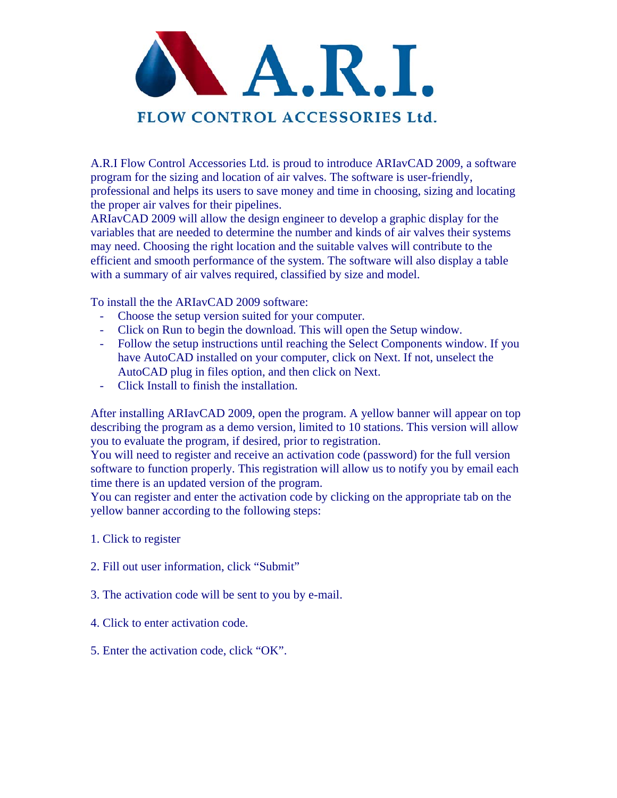

A.R.I Flow Control Accessories Ltd. is proud to introduce ARIavCAD 2009, a software program for the sizing and location of air valves. The software is user-friendly, professional and helps its users to save money and time in choosing, sizing and locating the proper air valves for their pipelines.

ARIavCAD 2009 will allow the design engineer to develop a graphic display for the variables that are needed to determine the number and kinds of air valves their systems may need. Choosing the right location and the suitable valves will contribute to the efficient and smooth performance of the system. The software will also display a table with a summary of air valves required, classified by size and model.

To install the the ARIavCAD 2009 software:

- Choose the setup version suited for your computer.
- Click on Run to begin the download. This will open the Setup window.
- Follow the setup instructions until reaching the Select Components window. If you have AutoCAD installed on your computer, click on Next. If not, unselect the AutoCAD plug in files option, and then click on Next.
- Click Install to finish the installation.

After installing ARIavCAD 2009, open the program. A yellow banner will appear on top describing the program as a demo version, limited to 10 stations. This version will allow you to evaluate the program, if desired, prior to registration.

You will need to register and receive an activation code (password) for the full version software to function properly. This registration will allow us to notify you by email each time there is an updated version of the program.

You can register and enter the activation code by clicking on the appropriate tab on the yellow banner according to the following steps:

- 1. Click to register
- 2. Fill out user information, click "Submit"
- 3. The activation code will be sent to you by e-mail.
- 4. Click to enter activation code.
- 5. Enter the activation code, click "OK".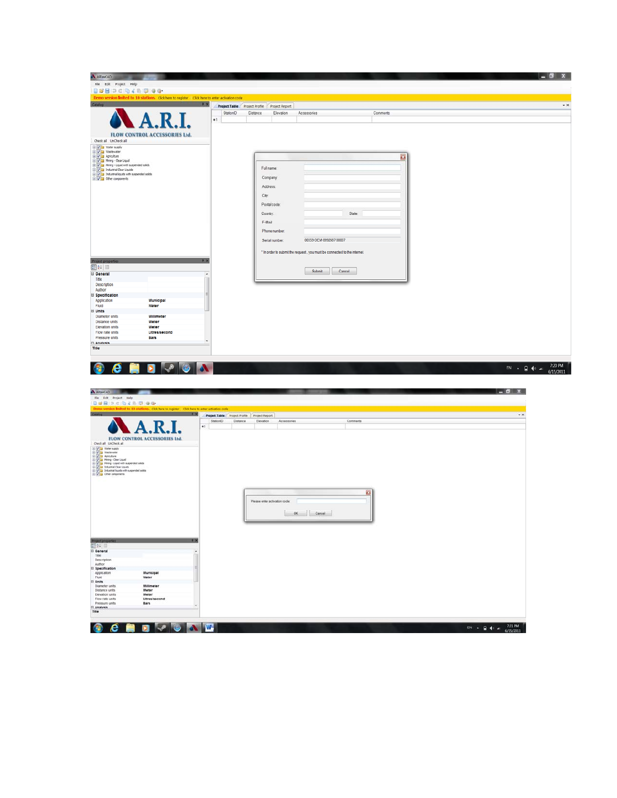| A ARINCAD                                                                                                                                                                                                                                                                                                                                                                                                                                   |                                                                                                   |                                                                          |          | $ 0x$                                                      |
|---------------------------------------------------------------------------------------------------------------------------------------------------------------------------------------------------------------------------------------------------------------------------------------------------------------------------------------------------------------------------------------------------------------------------------------------|---------------------------------------------------------------------------------------------------|--------------------------------------------------------------------------|----------|------------------------------------------------------------|
| File Edit Project Help<br>自然田口口用人用原理学                                                                                                                                                                                                                                                                                                                                                                                                       |                                                                                                   |                                                                          |          |                                                            |
| Denno version limited to 10 stations. Click here to register Click here to enter activation code                                                                                                                                                                                                                                                                                                                                            |                                                                                                   |                                                                          |          |                                                            |
| Catalog<br>7 X                                                                                                                                                                                                                                                                                                                                                                                                                              | Project Table Project Profile Project Report                                                      |                                                                          |          | $\star$ $\times$                                           |
|                                                                                                                                                                                                                                                                                                                                                                                                                                             | StationID<br>Distance<br>Elevation<br>$+1$                                                        | Accessories                                                              | Comments |                                                            |
|                                                                                                                                                                                                                                                                                                                                                                                                                                             |                                                                                                   |                                                                          |          |                                                            |
| <b>FLOW CONTROL ACCESSORIES Ltd.</b>                                                                                                                                                                                                                                                                                                                                                                                                        |                                                                                                   |                                                                          |          |                                                            |
| Check all UnCheck all                                                                                                                                                                                                                                                                                                                                                                                                                       |                                                                                                   |                                                                          |          |                                                            |
| Contraction of the state of the state of the state of the state of the state of the state of the state of the state of the state of the state of the state of the state of the state of the state of the state of the state o                                                                                                                                                                                                               |                                                                                                   |                                                                          |          |                                                            |
|                                                                                                                                                                                                                                                                                                                                                                                                                                             |                                                                                                   |                                                                          | a        |                                                            |
|                                                                                                                                                                                                                                                                                                                                                                                                                                             | Fullname                                                                                          |                                                                          |          |                                                            |
|                                                                                                                                                                                                                                                                                                                                                                                                                                             | Company                                                                                           |                                                                          |          |                                                            |
|                                                                                                                                                                                                                                                                                                                                                                                                                                             | Address:                                                                                          |                                                                          |          |                                                            |
|                                                                                                                                                                                                                                                                                                                                                                                                                                             | City:                                                                                             |                                                                          |          |                                                            |
|                                                                                                                                                                                                                                                                                                                                                                                                                                             | Postal code:                                                                                      |                                                                          |          |                                                            |
|                                                                                                                                                                                                                                                                                                                                                                                                                                             | Country.                                                                                          | State:                                                                   |          |                                                            |
|                                                                                                                                                                                                                                                                                                                                                                                                                                             | E-Mail                                                                                            |                                                                          |          |                                                            |
|                                                                                                                                                                                                                                                                                                                                                                                                                                             | Phone number:                                                                                     |                                                                          |          |                                                            |
|                                                                                                                                                                                                                                                                                                                                                                                                                                             | Serial number                                                                                     | 00359-OEM-8992687-00007                                                  |          |                                                            |
|                                                                                                                                                                                                                                                                                                                                                                                                                                             |                                                                                                   |                                                                          |          |                                                            |
|                                                                                                                                                                                                                                                                                                                                                                                                                                             |                                                                                                   | * In order to submit the request, you must be connected to the internet. |          |                                                            |
| Project pr<br>12                                                                                                                                                                                                                                                                                                                                                                                                                            |                                                                                                   |                                                                          |          |                                                            |
| <b>Ceneral</b>                                                                                                                                                                                                                                                                                                                                                                                                                              |                                                                                                   | Cancel<br>Submit                                                         |          |                                                            |
| Title<br>Description                                                                                                                                                                                                                                                                                                                                                                                                                        |                                                                                                   |                                                                          |          |                                                            |
| Author<br><b>B</b> Specification                                                                                                                                                                                                                                                                                                                                                                                                            |                                                                                                   |                                                                          |          |                                                            |
| Application<br>Municipal                                                                                                                                                                                                                                                                                                                                                                                                                    |                                                                                                   |                                                                          |          |                                                            |
| Fluid<br>Water<br><b>B</b> Units                                                                                                                                                                                                                                                                                                                                                                                                            |                                                                                                   |                                                                          |          |                                                            |
| Diameter units<br>Millimeter<br>Distance units<br>Meter                                                                                                                                                                                                                                                                                                                                                                                     |                                                                                                   |                                                                          |          |                                                            |
| Elevation units<br>Meter                                                                                                                                                                                                                                                                                                                                                                                                                    |                                                                                                   |                                                                          |          |                                                            |
| Flow rate units<br>Litres/second<br>Pressure units<br>Bars                                                                                                                                                                                                                                                                                                                                                                                  |                                                                                                   |                                                                          |          |                                                            |
| Fl Analysis<br>Title                                                                                                                                                                                                                                                                                                                                                                                                                        |                                                                                                   |                                                                          |          |                                                            |
|                                                                                                                                                                                                                                                                                                                                                                                                                                             |                                                                                                   |                                                                          |          |                                                            |
| e<br>$\bullet$<br>Œ                                                                                                                                                                                                                                                                                                                                                                                                                         |                                                                                                   |                                                                          |          | 7:20 PM<br>$EN = 244$                                      |
| D                                                                                                                                                                                                                                                                                                                                                                                                                                           |                                                                                                   |                                                                          |          | 6/15/2011                                                  |
|                                                                                                                                                                                                                                                                                                                                                                                                                                             |                                                                                                   |                                                                          |          |                                                            |
| A Marcan Com                                                                                                                                                                                                                                                                                                                                                                                                                                |                                                                                                   |                                                                          |          |                                                            |
| File Edit Project Help<br>日本田口に向えた同学者                                                                                                                                                                                                                                                                                                                                                                                                       |                                                                                                   |                                                                          |          |                                                            |
| o version limited to 10 stations. Cick here to register Cick here to enter activation code                                                                                                                                                                                                                                                                                                                                                  |                                                                                                   |                                                                          |          |                                                            |
| $\sim$ $\sim$ $\sim$ $\sim$ $\sim$                                                                                                                                                                                                                                                                                                                                                                                                          | Project Table Project Profile Project Report<br>StationID<br>Distance<br>Elevation<br>Accessories | Comments                                                                 |          | $\bullet$ x                                                |
| $\bullet$ 1                                                                                                                                                                                                                                                                                                                                                                                                                                 |                                                                                                   |                                                                          |          |                                                            |
| <b>FLOW CONTROL ACCESSORIES Ltd.</b>                                                                                                                                                                                                                                                                                                                                                                                                        |                                                                                                   |                                                                          |          |                                                            |
| Check all UnCheck all                                                                                                                                                                                                                                                                                                                                                                                                                       |                                                                                                   |                                                                          |          |                                                            |
|                                                                                                                                                                                                                                                                                                                                                                                                                                             |                                                                                                   |                                                                          |          |                                                            |
|                                                                                                                                                                                                                                                                                                                                                                                                                                             |                                                                                                   |                                                                          |          |                                                            |
| $\begin{tabular}{ c c c c } \hline \multicolumn{3}{ c }{\hline\multicolumn{3}{ c }{\hline\multicolumn{3}{ c }{\hline\multicolumn{3}{ c }{\hline\multicolumn{3}{ c }{\hline\multicolumn{3}{ c }{\hline\multicolumn{3}{ c }{\hline\multicolumn{3}{ c }{\hline\multicolumn{3}{ c }{\hline\multicolumn{3}{ c }{\hline\multicolumn{3}{ c }{\hline\multicolumn{3}{ c }{\hline\multicolumn{3}{ c }{\hline\multicolumn{3}{ c }{\hline\multicolumn{$ |                                                                                                   |                                                                          |          |                                                            |
|                                                                                                                                                                                                                                                                                                                                                                                                                                             |                                                                                                   |                                                                          |          |                                                            |
|                                                                                                                                                                                                                                                                                                                                                                                                                                             |                                                                                                   |                                                                          |          |                                                            |
|                                                                                                                                                                                                                                                                                                                                                                                                                                             | Please enter activation code:                                                                     | ex.                                                                      |          |                                                            |
|                                                                                                                                                                                                                                                                                                                                                                                                                                             |                                                                                                   |                                                                          |          |                                                            |
|                                                                                                                                                                                                                                                                                                                                                                                                                                             |                                                                                                   | OK Cancel                                                                |          |                                                            |
|                                                                                                                                                                                                                                                                                                                                                                                                                                             |                                                                                                   |                                                                          |          |                                                            |
|                                                                                                                                                                                                                                                                                                                                                                                                                                             |                                                                                                   |                                                                          |          |                                                            |
| Freest prog                                                                                                                                                                                                                                                                                                                                                                                                                                 |                                                                                                   |                                                                          |          |                                                            |
| General                                                                                                                                                                                                                                                                                                                                                                                                                                     |                                                                                                   |                                                                          |          |                                                            |
| The<br>Description                                                                                                                                                                                                                                                                                                                                                                                                                          |                                                                                                   |                                                                          |          |                                                            |
| Author<br><b>El Specification</b>                                                                                                                                                                                                                                                                                                                                                                                                           |                                                                                                   |                                                                          |          |                                                            |
| Application<br>Municipal<br>Fluid<br>Water                                                                                                                                                                                                                                                                                                                                                                                                  |                                                                                                   |                                                                          |          |                                                            |
| <b>El Units</b><br>Diameter units<br>Millimeter                                                                                                                                                                                                                                                                                                                                                                                             |                                                                                                   |                                                                          |          |                                                            |
| Meter<br>Distance units<br>Elevation units<br>Meter                                                                                                                                                                                                                                                                                                                                                                                         |                                                                                                   |                                                                          |          |                                                            |
| Flow rate units<br>Litres/second<br>Pressure units<br>Bars                                                                                                                                                                                                                                                                                                                                                                                  |                                                                                                   |                                                                          |          |                                                            |
| <b>R</b> Analysis<br>Title                                                                                                                                                                                                                                                                                                                                                                                                                  |                                                                                                   |                                                                          |          |                                                            |
|                                                                                                                                                                                                                                                                                                                                                                                                                                             |                                                                                                   |                                                                          |          |                                                            |
| <b>OCHDIVIO</b><br><b>AW</b>                                                                                                                                                                                                                                                                                                                                                                                                                |                                                                                                   |                                                                          |          | EN - $\frac{1}{2}$ (v = $\frac{721 \text{ PM}}{6/15/2011}$ |